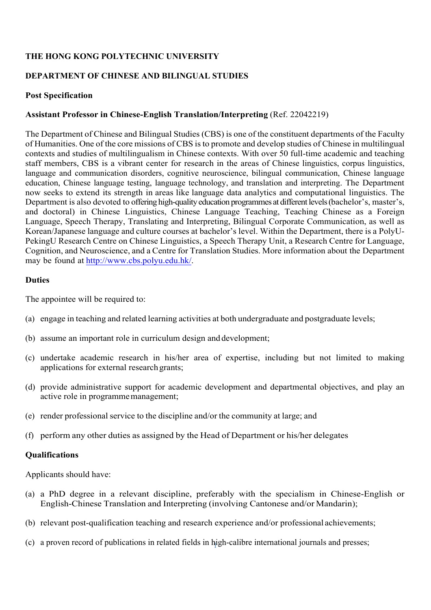## **THE HONG KONG POLYTECHNIC UNIVERSITY**

## **DEPARTMENT OF CHINESE AND BILINGUAL STUDIES**

### **Post Specification**

### **Assistant Professor in Chinese-English Translation/Interpreting** (Ref. 22042219)

The Department of Chinese and Bilingual Studies (CBS) is one of the constituent departments of the Faculty of Humanities. One of the core missions of CBS is to promote and develop studies of Chinese in multilingual contexts and studies of multilingualism in Chinese contexts. With over 50 full-time academic and teaching staff members, CBS is a vibrant center for research in the areas of Chinese linguistics, corpus linguistics, language and communication disorders, cognitive neuroscience, bilingual communication, Chinese language education, Chinese language testing, language technology, and translation and interpreting. The Department now seeks to extend its strength in areas like language data analytics and computational linguistics. The Department is also devoted to offering high-quality education programmes at different levels (bachelor's, master's, and doctoral) in Chinese Linguistics, Chinese Language Teaching, Teaching Chinese as a Foreign Language, Speech Therapy, Translating and Interpreting, Bilingual Corporate Communication, as well as Korean/Japanese language and culture courses at bachelor's level. Within the Department, there is a PolyU-PekingU Research Centre on Chinese Linguistics, a Speech Therapy Unit, a Research Centre for Language, Cognition, and Neuroscience, and a Centre for Translation Studies. More information about the Department may be found at http://www.cbs.polyu.edu.hk/.

#### **Duties**

The appointee will be required to:

- (a) engage in teaching and related learning activities at both undergraduate and postgraduate levels;
- (b) assume an important role in curriculum design and development;
- (c) undertake academic research in his/her area of expertise, including but not limited to making applications for external research grants;
- (d) provide administrative support for academic development and departmental objectives, and play an active role in programme management;
- (e) render professional service to the discipline and/or the community at large; and
- (f) perform any other duties as assigned by the Head of Department or his/her delegates

#### **Qualifications**

Applicants should have:

- (a) a PhD degree in a relevant discipline, preferably with the specialism in Chinese-English or English-Chinese Translation and Interpreting (involving Cantonese and/or Mandarin);
- (b) relevant post-qualification teaching and research experience and/or professional achievements;
- 1 (c) a proven record of publications in related fields in high-calibre international journals and presses;